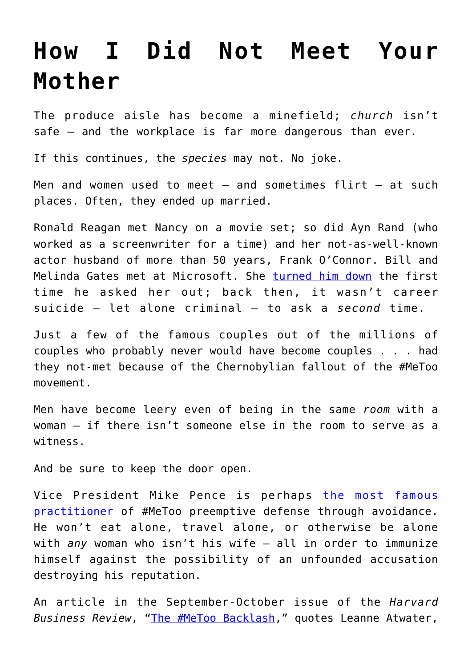## **[How I Did Not Meet Your](https://intellectualtakeout.org/2019/09/how-i-did-not-meet-your-mother/) [Mother](https://intellectualtakeout.org/2019/09/how-i-did-not-meet-your-mother/)**

The produce aisle has become a minefield; *church* isn't safe – and the workplace is far more dangerous than ever.

If this continues, the *species* may not. No joke.

Men and women used to meet  $-$  and sometimes flirt  $-$  at such places. Often, they ended up married.

Ronald Reagan met Nancy on a movie set; so did Ayn Rand (who worked as a screenwriter for a time) and her not-as-well-known actor husband of more than 50 years, Frank O'Connor. Bill and Melinda Gates met at Microsoft. She [turned him down](https://www.businessinsider.com/melinda-gates-turned-bill-gates-down-2015-3) the first time he asked her out; back then, it wasn't career suicide – let alone criminal – to ask a *second* time.

Just a few of the famous couples out of the millions of couples who probably never would have become couples . . . had they not-met because of the Chernobylian fallout of the #MeToo movement.

Men have become leery even of being in the same *room* with a woman – if there isn't someone else in the room to serve as a witness.

And be sure to keep the door open.

Vice President Mike Pence is perhaps [the most famous](https://www.forbes.com/sites/rogerdooley/2019/04/17/biden-effect/#7e42a1613910) [practitioner](https://www.forbes.com/sites/rogerdooley/2019/04/17/biden-effect/#7e42a1613910) of #MeToo preemptive defense through avoidance. He won't eat alone, travel alone, or otherwise be alone with *any* woman who isn't his wife – all in order to immunize himself against the possibility of an unfounded accusation destroying his reputation.

An article in the September-October issue of the *Harvard Business Review*, "[The #MeToo Backlash](https://hbr.org/2019/09/the-metoo-backlash?)," quotes Leanne Atwater,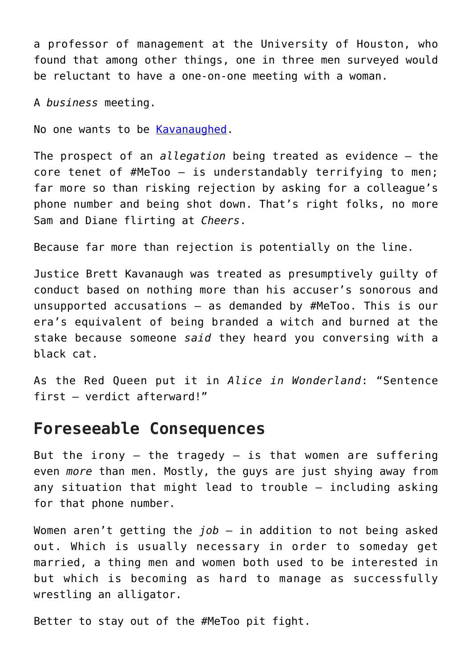a professor of management at the University of Houston, who found that among other things, one in three men surveyed would be reluctant to have a one-on-one meeting with a woman.

A *business* meeting.

No one wants to be [Kavanaughed](https://www.amgreatness.com/2019/08/17/brett-kavanaugh-a-good-man-defamed/).

The prospect of an *allegation* being treated as evidence – the core tenet of #MeToo – is understandably terrifying to men; far more so than risking rejection by asking for a colleague's phone number and being shot down. That's right folks, no more Sam and Diane flirting at *Cheers*.

Because far more than rejection is potentially on the line.

Justice Brett Kavanaugh was treated as presumptively guilty of conduct based on nothing more than his accuser's sonorous and unsupported accusations – as demanded by #MeToo. This is our era's equivalent of being branded a witch and burned at the stake because someone *said* they heard you conversing with a black cat.

As the Red Queen put it in *Alice in Wonderland*: "Sentence first – verdict afterward!"

## **Foreseeable Consequences**

But the irony  $-$  the tragedy  $-$  is that women are suffering even *more* than men. Mostly, the guys are just shying away from any situation that might lead to trouble – including asking for that phone number.

Women aren't getting the *job* – in addition to not being asked out. Which is usually necessary in order to someday get married, a thing men and women both used to be interested in but which is becoming as hard to manage as successfully wrestling an alligator.

Better to stay out of the #MeToo pit fight.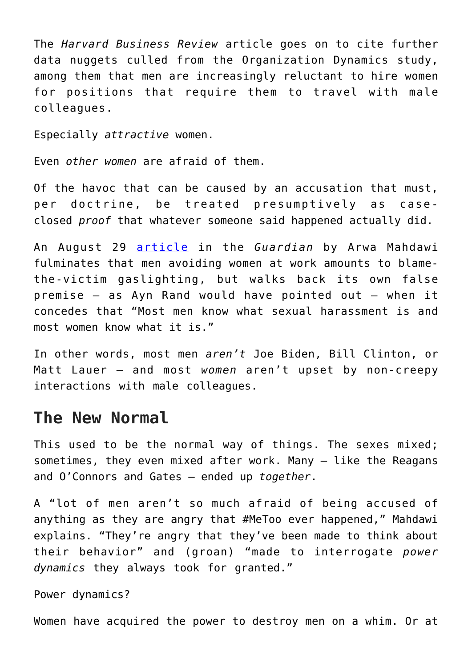The *Harvard Business Review* article goes on to cite further data nuggets culled from the Organization Dynamics study, among them that men are increasingly reluctant to hire women for positions that require them to travel with male colleagues.

Especially *attractive* women.

Even *other women* are afraid of them.

Of the havoc that can be caused by an accusation that must, per doctrine, be treated presumptively as caseclosed *proof* that whatever someone said happened actually did.

An August 29 [article](https://www.theguardian.com/lifeandstyle/2019/aug/29/men-women-workplace-study-harassment-harvard-metoo#img-1) in the *Guardian* by Arwa Mahdawi fulminates that men avoiding women at work amounts to blamethe-victim gaslighting, but walks back its own false premise – as Ayn Rand would have pointed out – when it concedes that "Most men know what sexual harassment is and most women know what it is."

In other words, most men *aren't* Joe Biden, Bill Clinton, or Matt Lauer – and most *women* aren't upset by non-creepy interactions with male colleagues.

## **The New Normal**

This used to be the normal way of things. The sexes mixed; sometimes, they even mixed after work. Many – like the Reagans and O'Connors and Gates – ended up *together*.

A "lot of men aren't so much afraid of being accused of anything as they are angry that #MeToo ever happened," Mahdawi explains. "They're angry that they've been made to think about their behavior" and (groan) "made to interrogate *power dynamics* they always took for granted."

Power dynamics?

Women have acquired the power to destroy men on a whim. Or at